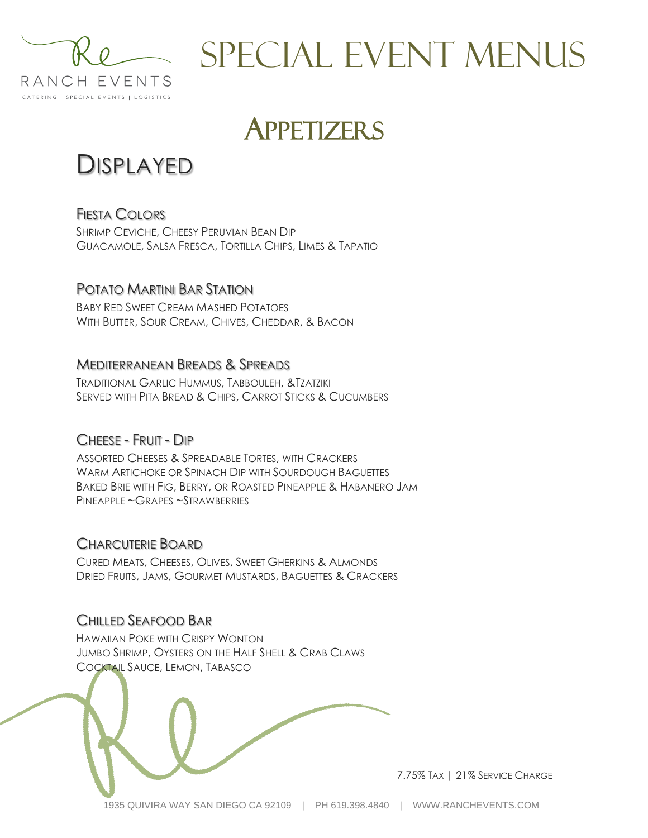

# **APPETIZERS**

# DISPLAYED

FIESTA COLORS

SHRIMP CEVICHE, CHEESY PERUVIAN BEAN DIP GUACAMOLE, SALSA FRESCA, TORTILLA CHIPS, LIMES & TAPATIO

## POTATO MARTINI BAR STATION

BABY RED SWEET CREAM MASHED POTATOES WITH BUTTER, SOUR CREAM, CHIVES, CHEDDAR, & BACON

#### MEDITERRANEAN BREADS & SPREADS

TRADITIONAL GARLIC HUMMUS, TABBOULEH, &TZATZIKI SERVED WITH PITA BREAD & CHIPS, CARROT STICKS & CUCUMBERS

### CHEESE - FRUIT - DIP

ASSORTED CHEESES & SPREADABLE TORTES, WITH CRACKERS WARM ARTICHOKE OR SPINACH DIP WITH SOURDOUGH BAGUETTES BAKED BRIE WITH FIG, BERRY, OR ROASTED PINEAPPLE & HABANERO JAM PINEAPPLE ~GRAPES ~STRAWBERRIES

#### CHARCUTERIE BOARD

CURED MEATS, CHEESES, OLIVES, SWEET GHERKINS & ALMONDS DRIED FRUITS, JAMS, GOURMET MUSTARDS, BAGUETTES & CRACKERS

#### CHILLED SEAFOOD BAR

HAWAIIAN POKE WITH CRISPY WONTON JUMBO SHRIMP, OYSTERS ON THE HALF SHELL & CRAB CLAWS COCKTAIL SAUCE, LEMON, TABASCO



7.75% TAX | 21% SERVICE CHARGE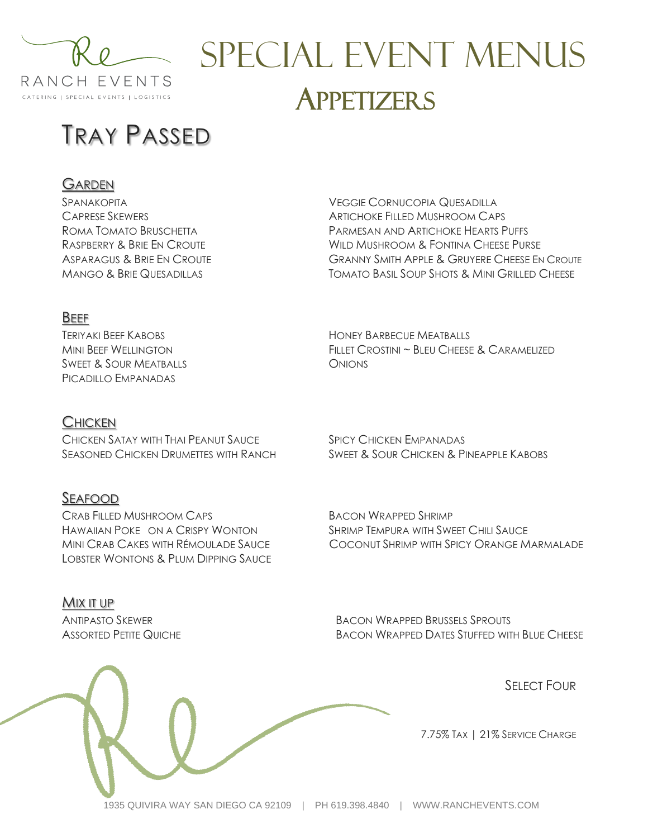

# SPECIAL EVENT MENUS **APPETIZERS**

HONEY BARBECUE MEATBALLS

**ONIONS** 

# TRAY PASSED

#### GARDEN

SPANAKOPITA CAPRESE SKEWERS ROMA TOMATO BRUSCHETTA RASPBERRY & BRIE EN CROUTE ASPARAGUS & BRIE EN CROUTE MANGO & BRIE QUESADILLAS

VEGGIE CORNUCOPIA QUESADILLA ARTICHOKE FILLED MUSHROOM CAPS PARMESAN AND ARTICHOKE HEARTS PUFFS WILD MUSHROOM & FONTINA CHEESE PURSE GRANNY SMITH APPLE & GRUYERE CHEESE EN CROUTE TOMATO BASIL SOUP SHOTS & MINI GRILLED CHEESE

#### BEEF

TERIYAKI BEEF KABOBS MINI BEEF WELLINGTON SWEET & SOUR MEATBALLS PICADILLO EMPANADAS

#### **CHICKEN**

CHICKEN SATAY WITH THAI PEANUT SAUCE SEASONED CHICKEN DRUMETTES WITH RANCH

#### SEAFOOD

CRAB FILLED MUSHROOM CAPS HAWAIIAN POKE ON A CRISPY WONTON MINI CRAB CAKES WITH RÉMOULADE SAUCE LOBSTER WONTONS & PLUM DIPPING SAUCE

#### MIX IT UP

ANTIPASTO SKEWER ASSORTED PETITE QUICHE SPICY CHICKEN EMPANADAS SWEET & SOUR CHICKEN & PINEAPPLE KABOBS

FILLET CROSTINI ~ BLEU CHEESE & CARAMELIZED

BACON WRAPPED SHRIMP SHRIMP TEMPURA WITH SWEET CHILI SAUCE COCONUT SHRIMP WITH SPICY ORANGE MARMALADE

BACON WRAPPED BRUSSELS SPROUTS BACON WRAPPED DATES STUFFED WITH BLUE CHEESE

**SELECT FOUR** 

7.75% TAX | 21% SERVICE CHARGE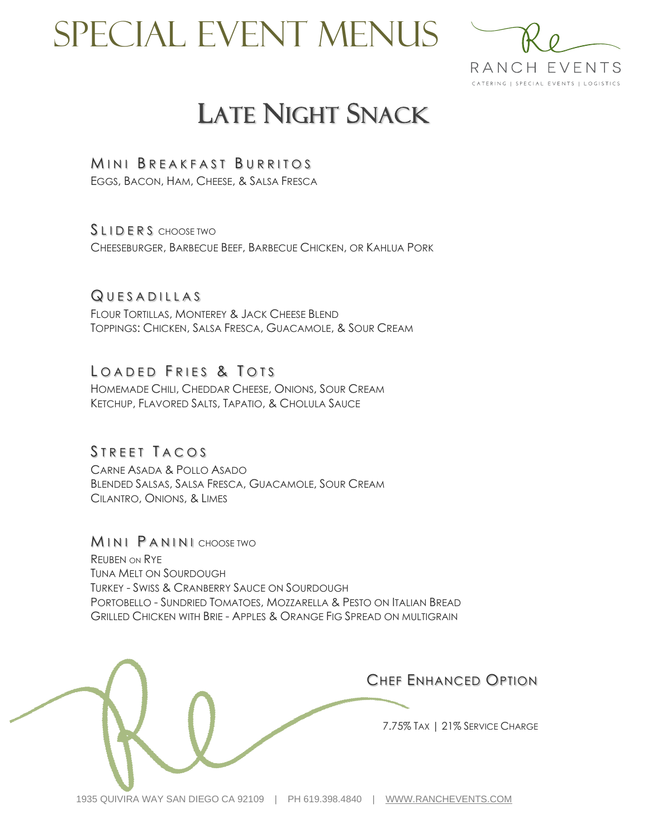

# LATE NIGHT SNACK

#### MINI BREAKFAST BURRITOS

EGGS, BACON, HAM, CHEESE, & SALSA FRESCA

SLIDERS CHOOSE TWO

CHEESEBURGER, BARBECUE BEEF, BARBECUE CHICKEN, OR KAHLUA PORK

#### QUESADILLAS

FLOUR TORTILLAS, MONTEREY & JACK CHEESE BLEND TOPPINGS: CHICKEN, SALSA FRESCA, GUACAMOLE, & SOUR CREAM

## LOADED FRIES & TOTS

HOMEMADE CHILI, CHEDDAR CHEESE, ONIONS, SOUR CREAM KETCHUP, FLAVORED SALTS, TAPATIO, & CHOLULA SAUCE

#### STREET TACOS

CARNE ASADA & POLLO ASADO BLENDED SALSAS, SALSA FRESCA, GUACAMOLE, SOUR CREAM CILANTRO, ONIONS, & LIMES

**MINI PANINI** CHOOSE TWO REUBEN ON RYE TUNA MELT ON SOURDOUGH TURKEY - SWISS & CRANBERRY SAUCE ON SOURDOUGH PORTOBELLO - SUNDRIED TOMATOES, MOZZARELLA & PESTO ON ITALIAN BREAD GRILLED CHICKEN WITH BRIE - APPLES & ORANGE FIG SPREAD ON MULTIGRAIN

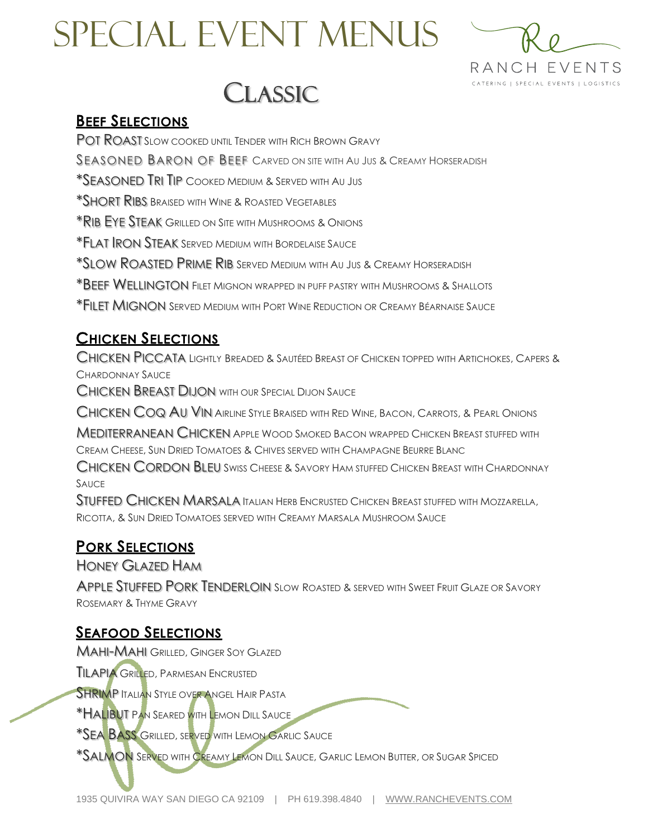



#### **BEEF SELECTIONS**

POT ROAST SLOW COOKED UNTIL TENDER WITH RICH BROWN GRAVY

SEASONED BARON OF BEEF CARVED ON SITE WITH AU JUS & CREAMY HORSERADISH

\*SEASONED TRI TIP COOKED MEDIUM & SERVED WITH AU JUS

\*SHORT RIBS BRAISED WITH WINE & ROASTED VEGETABLES

\*RIB EYE STEAK GRILLED ON SITE WITH MUSHROOMS & ONIONS

\*FLAT IRON STEAK SERVED MEDIUM WITH BORDELAISE SAUCE

\*SLOW ROASTED PRIME RIB SERVED MEDIUM WITH AU JUS & CREAMY HORSERADISH

\*BEEF WELLINGTON FILET MIGNON WRAPPED IN PUFF PASTRY WITH MUSHROOMS & SHALLOTS

\*FILET MIGNON SERVED MEDIUM WITH PORT WINE REDUCTION OR CREAMY BÉARNAISE SAUCE

#### **CHICKEN SELECTIONS**

CHICKEN PICCATA LIGHTLY BREADED & SAUTÉED BREAST OF CHICKEN TOPPED WITH ARTICHOKES, CAPERS & CHARDONNAY SAUCE

CHICKEN BREAST DIJON WITH OUR SPECIAL DIJON SAUCE

CHICKEN COQ AU VIN AIRLINE STYLE BRAISED WITH RED WINE, BACON, CARROTS, & PEARL ONIONS

MEDITERRANEAN CHICKEN APPLE WOOD SMOKED BACON WRAPPED CHICKEN BREAST STUFFED WITH CREAM CHEESE, SUN DRIED TOMATOES & CHIVES SERVED WITH CHAMPAGNE BEURRE BLANC

CHICKEN CORDON BLEU SWISS CHEESE & SAVORY HAM STUFFED CHICKEN BREAST WITH CHARDONNAY SAUCE

STUFFED CHICKEN MARSALA ITALIAN HERB ENCRUSTED CHICKEN BREAST STUFFED WITH MOZZARELLA, RICOTTA, & SUN DRIED TOMATOES SERVED WITH CREAMY MARSALA MUSHROOM SAUCE

### **PORK SELECTIONS**

HONEY GLAZED HAM

APPLE STUFFED PORK TENDERLOIN SLOW ROASTED & SERVED WITH SWEET FRUIT GLAZE OR SAVORY ROSEMARY & THYME GRAVY

### **SEAFOOD SELECTIONS**

MAHI-MAHI GRILLED, GINGER SOY GLAZED

**TILAPIA GRILLED, PARMESAN ENCRUSTED** 

**SHRIMP ITALIAN STYLE OVER ANGEL HAIR PASTA** 

\*HALIBUT PAN SEARED WITH LEMON DILL SAUCE

**\*SEA BASS GRILLED, SERVED WITH LEMON GARLIC SAUCE** 

\*SALMON SERVED WITH CREAMY LEMON DILL SAUCE, GARLIC LEMON BUTTER, OR SUGAR SPICED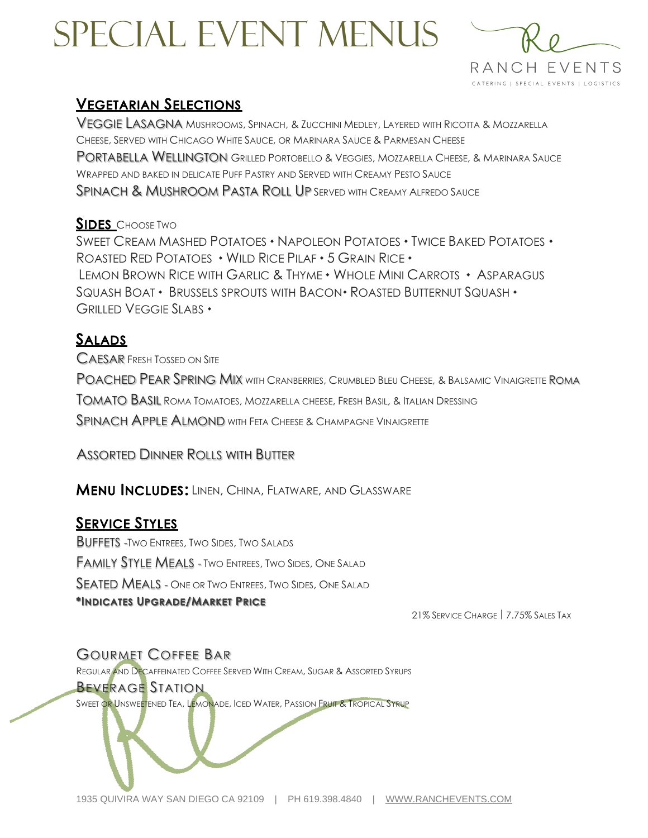

### **VEGETARIAN SELECTIONS**

VEGGIE LASAGNA MUSHROOMS, SPINACH, & ZUCCHINI MEDLEY, LAYERED WITH RICOTTA & MOZZARELLA CHEESE, SERVED WITH CHICAGO WHITE SAUCE, OR MARINARA SAUCE & PARMESAN CHEESE PORTABELLA WELLINGTON GRILLED PORTOBELLO & VEGGIES, MOZZARELLA CHEESE, & MARINARA SAUCE WRAPPED AND BAKED IN DELICATE PUFF PASTRY AND SERVED WITH CREAMY PESTO SAUCE SPINACH & MUSHROOM PASTA ROLL UP SERVED WITH CREAMY ALFREDO SAUCE

#### **SIDES** CHOOSE TWO

SWEET CREAM MASHED POTATOES • NAPOLEON POTATOES • TWICE BAKED POTATOES • ROASTED RED POTATOES  $\cdot$  WILD RICE PILAF  $\cdot$  5 GRAIN RICE  $\cdot$ LEMON BROWN RICE WITH GARLIC & THYME • WHOLE MINI CARROTS • ASPARAGUS SQUASH BOAT • BRUSSELS SPROUTS WITH BACON • ROASTED BUTTERNUT SQUASH • GRILLED VEGGIE SLABS

## **SALADS**

CAESAR FRESH TOSSED ON SITE POACHED PEAR SPRING MIX WITH CRANBERRIES, CRUMBLED BLEU CHEESE, & BALSAMIC VINAIGRETTE ROMA TOMATO BASIL ROMA TOMATOES, MOZZARELLA CHEESE, FRESH BASIL, & ITALIAN DRESSING SPINACH APPLE ALMOND WITH FETA CHEESE & CHAMPAGNE VINAIGRETTE

ASSORTED DINNER ROLLS WITH BUTTER

**MENU INCLUDES: LINEN, CHINA, FLATWARE, AND GLASSWARE** 

## **SERVICE STYLES**

BUFFETS -TWO ENTREES, TWO SIDES, TWO SALADS FAMILY STYLE MEALS - TWO ENTREES, TWO SIDES, ONE SALAD SEATED MEALS - ONE OR TWO ENTREES, TWO SIDES, ONE SALAD \*INDICATES UPGRADE/MARKET PRICE

21% SERVICE CHARGE | 7.75% SALES TAX

## GOURMET COFFEE BAR

REGULAR AND DECAFFEINATED COFFEE SERVED WITH CREAM, SUGAR & ASSORTED SYRUPS

#### BEVERAGE STATION

SWEET OR UNSWEETENED TEA, LEMONADE, ICED WATER, PASSION FRUIT & TROPICAL SYRUP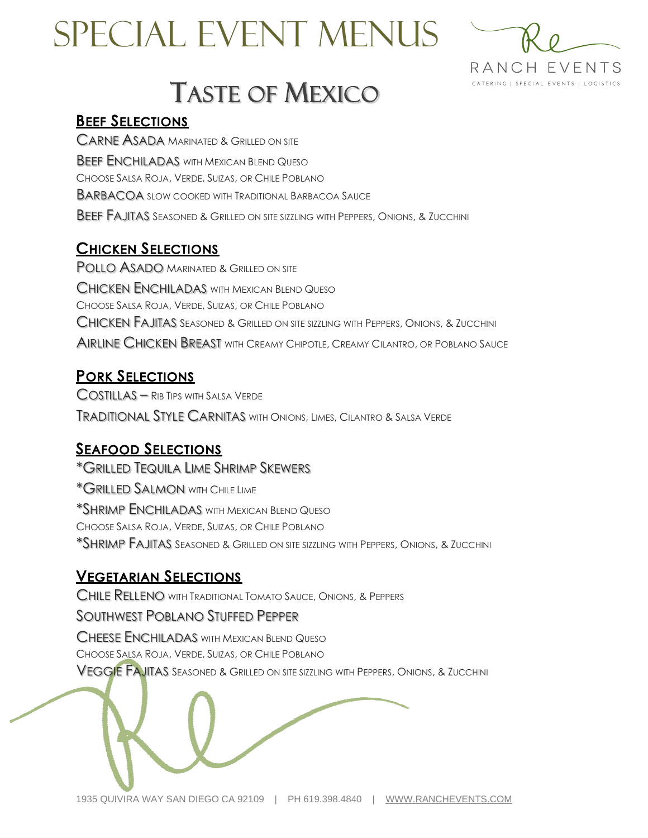



# TASTE OF MEXICO

#### **BEEF SELECTIONS**

CARNE ASADA MARINATED & GRILLED ON SITE **BEEF ENCHILADAS** WITH MEXICAN BLEND QUESO CHOOSE SALSA ROJA, VERDE, SUIZAS, OR CHILE POBLANO BARBACOA SLOW COOKED WITH TRADITIONAL BARBACOA SAUCE BEEF FAJITAS SEASONED & GRILLED ON SITE SIZZLING WITH PEPPERS, ONIONS, & ZUCCHINI

## **CHICKEN SELECTIONS**

**POLLO ASADO MARINATED & GRILLED ON SITE** CHICKEN ENCHILADAS WITH MEXICAN BLEND QUESO CHOOSE SALSA ROJA, VERDE, SUIZAS, OR CHILE POBLANO CHICKEN FAJITAS SEASONED & GRILLED ON SITE SIZZLING WITH PEPPERS, ONIONS, & ZUCCHINI AIRLINE CHICKEN BREAST WITH CREAMY CHIPOTLE, CREAMY CILANTRO, OR POBLANO SAUCE

## **PORK SELECTIONS**

COSTILLAS – RIB TIPS WITH SALSA VERDE TRADITIONAL STYLE CARNITAS WITH ONIONS, LIMES, CILANTRO & SALSA VERDE

## **SEAFOOD SELECTIONS**

\*GRILLED TEQUILA LIME SHRIMP SKEWERS \*GRILLED SALMON WITH CHILE LIME \*SHRIMP ENCHILADAS WITH MEXICAN BLEND QUESO CHOOSE SALSA ROJA, VERDE, SUIZAS, OR CHILE POBLANO \*SHRIMP FAJITAS SEASONED & GRILLED ON SITE SIZZLING WITH PEPPERS, ONIONS, & ZUCCHINI

### **VEGETARIAN SELECTIONS**

CHILE RELLENO WITH TRADITIONAL TOMATO SAUCE, ONIONS, & PEPPERS

#### SOUTHWEST POBLANO STUFFED PEPPER

CHEESE ENCHILADAS WITH MEXICAN BLEND QUESO CHOOSE SALSA ROJA, VERDE, SUIZAS, OR CHILE POBLANO

VEGGIE FAJITAS SEASONED & GRILLED ON SITE SIZZLING WITH PEPPERS, ONIONS, & ZUCCHINI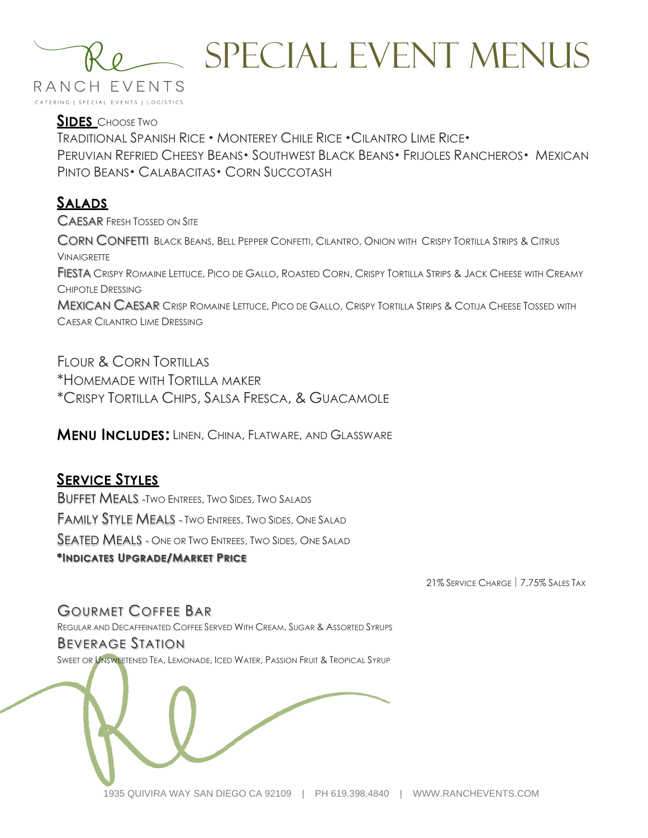

**SIDES** CHOOSE TWO TRADITIONAL SPANISH RICE • MONTEREY CHILE RICE • CILANTRO LIME RICE • PERUVIAN REFRIED CHEESY BEANS • SOUTHWEST BLACK BEANS • FRIJOLES RANCHEROS • MEXICAN PINTO BEANS • CALABACITAS • CORN SUCCOTASH

## **SALADS**

CAESAR FRESH TOSSED ON SITE

CORN CONFETTI BLACK BEANS, BELL PEPPER CONFETTI, CILANTRO, ONION WITH CRISPY TORTILLA STRIPS & CITRUS **VINAIGRETTE** FIESTA CRISPY ROMAINE LETTUCE, PICO DE GALLO, ROASTED CORN, CRISPY TORTILLA STRIPS & JACK CHEESE WITH CREAMY CHIPOTLE DRESSING MEXICAN CAESAR CRISP ROMAINE LETTUCE, PICO DE GALLO, CRISPY TORTILLA STRIPS & COTIJA CHEESE TOSSED WITH

CAESAR CILANTRO LIME DRESSING

FLOUR & CORN TORTILLAS \*HOMEMADE WITH TORTILLA MAKER \*CRISPY TORTILLA CHIPS, SALSA FRESCA, & GUACAMOLE

**MENU INCLUDES: LINEN, CHINA, FLATWARE, AND GLASSWARE** 

### **SERVICE STYLES**

BUFFET MEALS -TWO ENTREES, TWO SIDES, TWO SALADS FAMILY STYLE MEALS - TWO ENTREES, TWO SIDES, ONE SALAD SEATED MEALS - ONE OR TWO ENTREES, TWO SIDES, ONE SALAD \*INDICATES UPGRADE/MARKET PRICE

21% SERVICE CHARGE | 7.75% SALES TAX

#### GOURMET COFFEE BAR

REGULAR AND DECAFFEINATED COFFEE SERVED WITH CREAM, SUGAR & ASSORTED SYRUPS BEVERAGE STATION SWEET OR UNSWEETENED TEA, LEMONADE, ICED WATER, PASSION FRUIT & TROPICAL SYRUP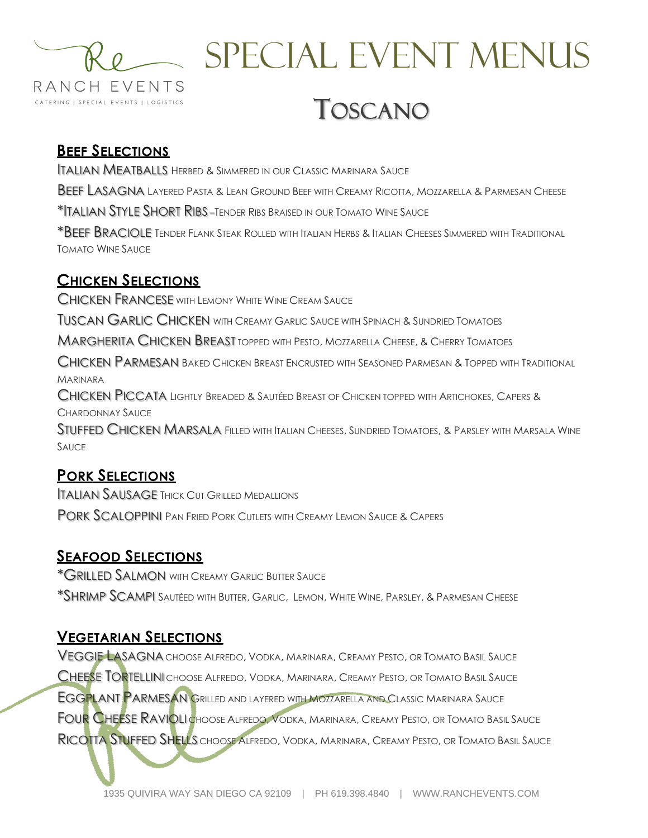

# SPECIAL EVENT MENUS TOSCANO

## **BEEF SELECTIONS**

ITALIAN MEATBALLS HERBED & SIMMERED IN OUR CLASSIC MARINARA SAUCE

BEEF LASAGNA LAYERED PASTA & LEAN GROUND BEEF WITH CREAMY RICOTTA, MOZZARELLA & PARMESAN CHEESE

\*ITALIAN STYLE SHORT RIBS –TENDER RIBS BRAISED IN OUR TOMATO WINE SAUCE

\*BEEF BRACIOLE TENDER FLANK STEAK ROLLED WITH ITALIAN HERBS & ITALIAN CHEESES SIMMERED WITH TRADITIONAL TOMATO WINE SAUCE

## **CHICKEN SELECTIONS**

CHICKEN FRANCESE WITH LEMONY WHITE WINE CREAM SAUCE

TUSCAN GARLIC CHICKEN WITH CREAMY GARLIC SAUCE WITH SPINACH & SUNDRIED TOMATOES

MARGHERITA CHICKEN BREAST TOPPED WITH PESTO, MOZZARELLA CHEESE, & CHERRY TOMATOES

CHICKEN PARMESAN BAKED CHICKEN BREAST ENCRUSTED WITH SEASONED PARMESAN & TOPPED WITH TRADITIONAL MARINARA

CHICKEN PICCATA LIGHTLY BREADED & SAUTÉED BREAST OF CHICKEN TOPPED WITH ARTICHOKES, CAPERS & CHARDONNAY SAUCE

STUFFED CHICKEN MARSALA FILLED WITH ITALIAN CHEESES, SUNDRIED TOMATOES, & PARSLEY WITH MARSALA WINE SAUCE

## **PORK SELECTIONS**

ITALIAN SAUSAGE THICK CUT GRILLED MEDALLIONS PORK SCALOPPINI PAN FRIED PORK CUTLETS WITH CREAMY LEMON SAUCE & CAPERS

## **SEAFOOD SELECTIONS**

\*GRILLED SALMON WITH CREAMY GARLIC BUTTER SAUCE \*SHRIMP SCAMPI SAUTÉED WITH BUTTER, GARLIC, LEMON, WHITE WINE, PARSLEY, & PARMESAN CHEESE

### **VEGETARIAN SELECTIONS**

VEGGIE LASAGNA CHOOSE ALFREDO, VODKA, MARINARA, CREAMY PESTO, OR TOMATO BASIL SAUCE CHEESE TORTELLINI CHOOSE ALFREDO, VODKA, MARINARA, CREAMY PESTO, OR TOMATO BASIL SAUCE EGGPLANT PARMESAN GRILLED AND LAYERED WITH MOZZARELLA AND CLASSIC MARINARA SAUCE FOUR CHEESE RAVIOLI CHOOSE ALFREDO, VODKA, MARINARA, CREAMY PESTO, OR TOMATO BASIL SAUCE RICOTTA STUFFED SHELLS CHOOSE ALFREDO, VODKA, MARINARA, CREAMY PESTO, OR TOMATO BASIL SAUCE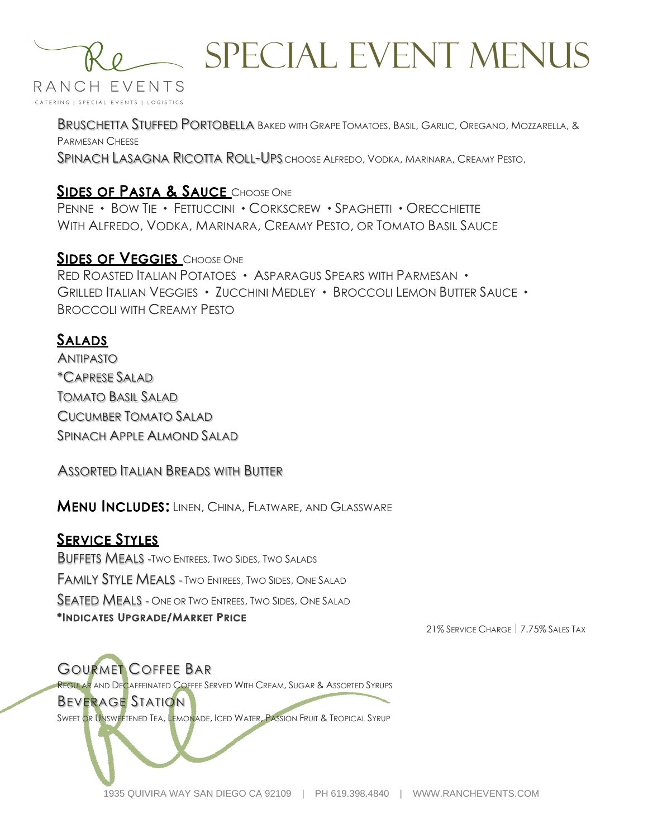

# SPECIAL EVENT Menus

BRUSCHETTA STUFFED PORTOBELLA BAKED WITH GRAPE TOMATOES, BASIL, GARLIC, OREGANO, MOZZARELLA, & PARMESAN CHEESE SPINACH LASAGNA RICOTTA ROLL-UPS CHOOSE ALFREDO, VODKA, MARINARA, CREAMY PESTO,

#### **SIDES OF PASTA & SAUCE** CHOOSE ONE

PENNE • BOW TIE • FETTUCCINI • CORKSCREW • SPAGHETTI • ORECCHIETTE WITH ALFREDO, VODKA, MARINARA, CREAMY PESTO, OR TOMATO BASIL SAUCE

**SIDES OF VEGGIES** CHOOSE ONE RED ROASTED ITALIAN POTATOES • ASPARAGUS SPEARS WITH PARMESAN • GRILLED ITALIAN VEGGIES • ZUCCHINI MEDLEY • BROCCOLI LEMON BUTTER SAUCE • BROCCOLI WITH CREAMY PESTO

#### **SALADS**

ANTIPASTO \*CAPRESE SALAD TOMATO BASIL SALAD CUCUMBER TOMATO SALAD SPINACH APPLE ALMOND SALAD

#### ASSORTED ITALIAN BREADS WITH BUTTER

**MENU INCLUDES: LINEN, CHINA, FLATWARE, AND GLASSWARE** 

#### **SERVICE STYLES**

BUFFETS MEALS -TWO ENTREES, TWO SIDES, TWO SALADS FAMILY STYLE MEALS - TWO ENTREES, TWO SIDES, ONE SALAD SEATED MEALS - ONE OR TWO ENTREES, TWO SIDES, ONE SALAD \*INDICATES UPGRADE/MARKET PRICE

21% SERVICE CHARGE | 7.75% SALES TAX

GOURMET COFFEE BAR REGULAR AND DECAFFEINATED COFFEE SERVED WITH CREAM, SUGAR & ASSORTED SYRUPS BEVERAGE STATION SWEET OR UNSWEETENED TEA, LEMONADE, ICED WATER, PASSION FRUIT & TROPICAL SYRUP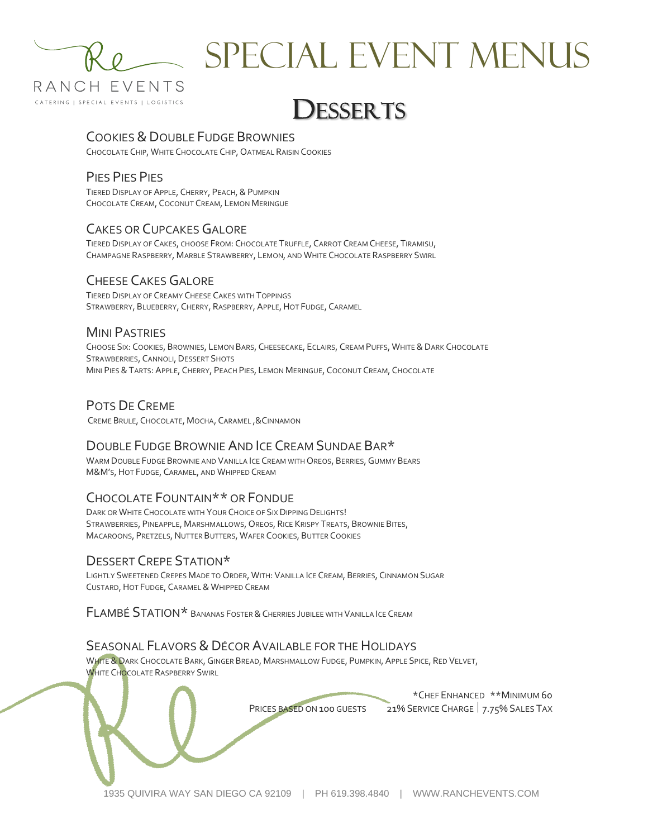

# SPECIAL EVENT Menus

# DESSERTS

#### COOKIES & DOUBLE FUDGE BROWNIES

CHOCOLATE CHIP, WHITE CHOCOLATE CHIP, OATMEAL RAISIN COOKIES

#### PIES PIES PIES

TIERED DISPLAY OF APPLE, CHERRY, PEACH, & PUMPKIN CHOCOLATE CREAM, COCONUT CREAM, LEMON MERINGUE

#### CAKES OR CUPCAKES GALORE

TIERED DISPLAY OF CAKES, CHOOSE FROM: CHOCOLATE TRUFFLE, CARROT CREAM CHEESE, TIRAMISU, CHAMPAGNE RASPBERRY, MARBLE STRAWBERRY, LEMON, AND WHITE CHOCOLATE RASPBERRY SWIRL

#### CHEESE CAKES GALORE

TIERED DISPLAY OF CREAMY CHEESE CAKES WITH TOPPINGS STRAWBERRY, BLUEBERRY, CHERRY, RASPBERRY, APPLE,HOT FUDGE, CARAMEL

#### MINI PASTRIES

CHOOSE SIX: COOKIES, BROWNIES, LEMON BARS, CHEESECAKE, ECLAIRS, CREAM PUFFS, WHITE & DARK CHOCOLATE STRAWBERRIES, CANNOLI, DESSERT SHOTS MINI PIES &TARTS: APPLE, CHERRY, PEACH PIES, LEMON MERINGUE, COCONUT CREAM, CHOCOLATE

#### POTS DE CREME

CREME BRULE, CHOCOLATE, MOCHA, CARAMEL ,&CINNAMON

#### DOUBLE FUDGE BROWNIE AND ICE CREAM SUNDAE BAR\*

WARM DOUBLE FUDGE BROWNIE AND VANILLA ICE CREAM WITH OREOS, BERRIES, GUMMY BEARS M&M'S,HOT FUDGE, CARAMEL, AND WHIPPED CREAM

#### CHOCOLATE FOUNTAIN\*\* OR FONDUE

DARK OR WHITE CHOCOLATE WITH YOUR CHOICE OF SIX DIPPING DELIGHTS! STRAWBERRIES, PINEAPPLE, MARSHMALLOWS, OREOS, RICE KRISPY TREATS, BROWNIE BITES, MACAROONS, PRETZELS, NUTTER BUTTERS, WAFER COOKIES, BUTTER COOKIES

#### DESSERT CREPE STATION\*

LIGHTLY SWEETENED CREPES MADE TO ORDER, WITH: VANILLA ICE CREAM, BERRIES, CINNAMON SUGAR CUSTARD, HOT FUDGE, CARAMEL & WHIPPED CREAM

FLAMBÉ STATION\* <sup>B</sup>ANANAS FOSTER &CHERRIES JUBILEE WITH VANILLA ICE CREAM

#### SEASONAL FLAVORS & DÉCOR AVAILABLE FOR THE HOLIDAYS

WHITE & DARK CHOCOLATE BARK, GINGER BREAD, MARSHMALLOW FUDGE, PUMPKIN, APPLE SPICE, RED VELVET, WHITE CHOCOLATE RASPBERRY SWIRL

\*CHEF ENHANCED \*\*MINIMUM 60 PRICES BASED ON 100 GUESTS 21% SERVICE CHARGE 7.75% SALES TAX